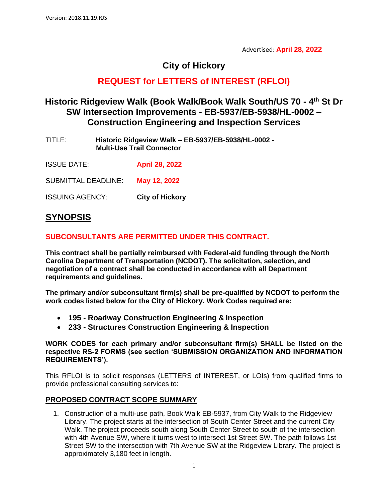Advertised: **April 28, 2022**

# **City of Hickory**

# **REQUEST for LETTERS of INTEREST (RFLOI)**

# **Historic Ridgeview Walk (Book Walk/Book Walk South/US 70 - 4 th St Dr SW Intersection Improvements - EB-5937/EB-5938/HL-0002 – Construction Engineering and Inspection Services**

- TITLE: **Historic Ridgeview Walk – EB-5937/EB-5938/HL-0002 - Multi-Use Trail Connector**
- ISSUE DATE: **April 28, 2022**
- SUBMITTAL DEADLINE: **May 12, 2022**
- ISSUING AGENCY: **City of Hickory**

## **SYNOPSIS**

### **SUBCONSULTANTS ARE PERMITTED UNDER THIS CONTRACT.**

**This contract shall be partially reimbursed with Federal-aid funding through the North Carolina Department of Transportation (NCDOT). The solicitation, selection, and negotiation of a contract shall be conducted in accordance with all Department requirements and guidelines.**

**The primary and/or subconsultant firm(s) shall be pre-qualified by NCDOT to perform the work codes listed below for the City of Hickory. Work Codes required are:**

- **195 - Roadway Construction Engineering & Inspection**
- **233 - Structures Construction Engineering & Inspection**

#### **WORK CODES for each primary and/or subconsultant firm(s) SHALL be listed on the respective RS-2 FORMS (see section 'SUBMISSION ORGANIZATION AND INFORMATION REQUIREMENTS').**

This RFLOI is to solicit responses (LETTERS of INTEREST, or LOIs) from qualified firms to provide professional consulting services to:

### **PROPOSED CONTRACT SCOPE SUMMARY**

1. Construction of a multi-use path, Book Walk EB-5937, from City Walk to the Ridgeview Library. The project starts at the intersection of South Center Street and the current City Walk. The project proceeds south along South Center Street to south of the intersection with 4th Avenue SW, where it turns west to intersect 1st Street SW. The path follows 1st Street SW to the intersection with 7th Avenue SW at the Ridgeview Library. The project is approximately 3,180 feet in length.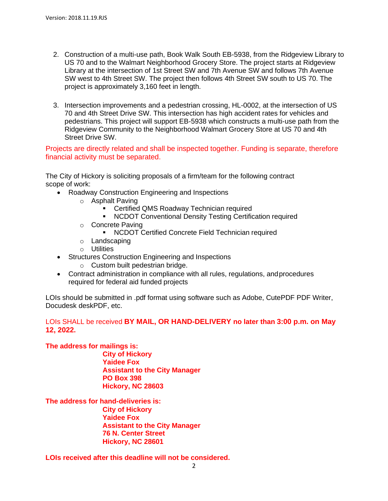- 2. Construction of a multi-use path, Book Walk South EB-5938, from the Ridgeview Library to US 70 and to the Walmart Neighborhood Grocery Store. The project starts at Ridgeview Library at the intersection of 1st Street SW and 7th Avenue SW and follows 7th Avenue SW west to 4th Street SW. The project then follows 4th Street SW south to US 70. The project is approximately 3,160 feet in length.
- 3. Intersection improvements and a pedestrian crossing, HL-0002, at the intersection of US 70 and 4th Street Drive SW. This intersection has high accident rates for vehicles and pedestrians. This project will support EB-5938 which constructs a multi-use path from the Ridgeview Community to the Neighborhood Walmart Grocery Store at US 70 and 4th Street Drive SW.

Projects are directly related and shall be inspected together. Funding is separate, therefore financial activity must be separated.

The City of Hickory is soliciting proposals of a firm/team for the following contract scope of work:

- Roadway Construction Engineering and Inspections
	- o Asphalt Paving
		- Certified QMS Roadway Technician required
		- NCDOT Conventional Density Testing Certification required
	- o Concrete Paving
		- NCDOT Certified Concrete Field Technician required
	- o Landscaping
	- o Utilities
- Structures Construction Engineering and Inspections
	- o Custom built pedestrian bridge.
- Contract administration in compliance with all rules, regulations, andprocedures required for federal aid funded projects

LOIs should be submitted in .pdf format using software such as Adobe, CutePDF PDF Writer, Docudesk deskPDF, etc.

### LOIs SHALL be received **BY MAIL, OR HAND-DELIVERY no later than 3:00 p.m. on May 12, 2022.**

**The address for mailings is:**

**City of Hickory Yaidee Fox Assistant to the City Manager PO Box 398 Hickory, NC 28603**

**The address for hand-deliveries is: City of Hickory Yaidee Fox Assistant to the City Manager 76 N. Center Street Hickory, NC 28601**

**LOIs received after this deadline will not be considered.**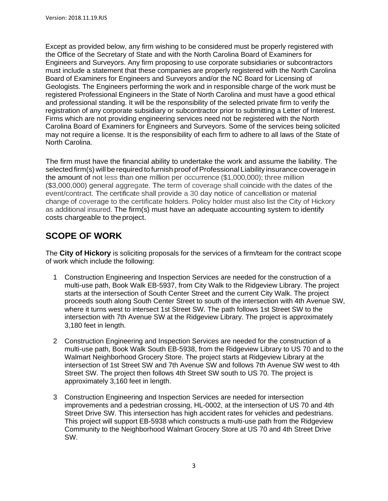Except as provided below, any firm wishing to be considered must be properly registered with the Office of the Secretary of State and with the North Carolina Board of Examiners for Engineers and Surveyors. Any firm proposing to use corporate subsidiaries or subcontractors must include a statement that these companies are properly registered with the North Carolina Board of Examiners for Engineers and Surveyors and/or the NC Board for Licensing of Geologists. The Engineers performing the work and in responsible charge of the work must be registered Professional Engineers in the State of North Carolina and must have a good ethical and professional standing. It will be the responsibility of the selected private firm to verify the registration of any corporate subsidiary or subcontractor prior to submitting a Letter of Interest. Firms which are not providing engineering services need not be registered with the North Carolina Board of Examiners for Engineers and Surveyors. Some of the services being solicited may not require a license. It is the responsibility of each firm to adhere to all laws of the State of North Carolina.

The firm must have the financial ability to undertake the work and assume the liability. The selected firm(s) will be required to furnish proof of Professional Liability insurance coverage in the amount of not less than one million per occurrence (\$1,000,000); three million (\$3,000,000) general aggregate. The term of coverage shall coincide with the dates of the event/contract. The certificate shall provide a 30 day notice of cancellation or material change of coverage to the certificate holders. Policy holder must also list the City of Hickory as additional insured. The firm(s) must have an adequate accounting system to identify costs chargeable to theproject.

# **SCOPE OF WORK**

The **City of Hickory** is soliciting proposals for the services of a firm/team for the contract scope of work which include the following:

- 1 Construction Engineering and Inspection Services are needed for the construction of a multi-use path, Book Walk EB-5937, from City Walk to the Ridgeview Library. The project starts at the intersection of South Center Street and the current City Walk. The project proceeds south along South Center Street to south of the intersection with 4th Avenue SW, where it turns west to intersect 1st Street SW. The path follows 1st Street SW to the intersection with 7th Avenue SW at the Ridgeview Library. The project is approximately 3,180 feet in length.
- 2 Construction Engineering and Inspection Services are needed for the construction of a multi-use path, Book Walk South EB-5938, from the Ridgeview Library to US 70 and to the Walmart Neighborhood Grocery Store. The project starts at Ridgeview Library at the intersection of 1st Street SW and 7th Avenue SW and follows 7th Avenue SW west to 4th Street SW. The project then follows 4th Street SW south to US 70. The project is approximately 3,160 feet in length.
- 3 Construction Engineering and Inspection Services are needed for intersection improvements and a pedestrian crossing, HL-0002, at the intersection of US 70 and 4th Street Drive SW. This intersection has high accident rates for vehicles and pedestrians. This project will support EB-5938 which constructs a multi-use path from the Ridgeview Community to the Neighborhood Walmart Grocery Store at US 70 and 4th Street Drive SW.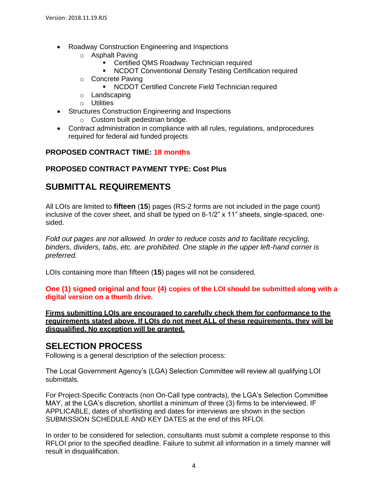- Roadway Construction Engineering and Inspections
	- o Asphalt Paving
		- **EXECOTE:** Certified QMS Roadway Technician required
		- NCDOT Conventional Density Testing Certification required
	- o Concrete Paving
		- **EXECOT Certified Concrete Field Technician required**
	- o Landscaping
	- o Utilities
- Structures Construction Engineering and Inspections
	- o Custom built pedestrian bridge.
- Contract administration in compliance with all rules, regulations, andprocedures required for federal aid funded projects

### **PROPOSED CONTRACT TIME: 18 months**

### **PROPOSED CONTRACT PAYMENT TYPE: Cost Plus**

## **SUBMITTAL REQUIREMENTS**

All LOIs are limited to **fifteen** (**15**) pages (RS-2 forms are not included in the page count) inclusive of the cover sheet, and shall be typed on 8-1/2" x 11" sheets, single-spaced, onesided.

*Fold out pages are not allowed. In order to reduce costs and to facilitate recycling, binders, dividers, tabs, etc. are prohibited. One staple in the upper left-hand corner is preferred.*

LOIs containing more than fifteen (**15**) pages will not be considered.

**One (1) signed original and four (4) copies of the LOI should be submitted along with a digital version on a thumb drive.**

**Firms submitting LOIs are encouraged to carefully check them for conformance to the requirements stated above. If LOIs do not meet ALL of these requirements, they will be disqualified. No exception will be granted.**

### **SELECTION PROCESS**

Following is a general description of the selection process:

The Local Government Agency's (LGA) Selection Committee will review all qualifying LOI submittals.

For Project-Specific Contracts (non On-Call type contracts), the LGA's Selection Committee MAY, at the LGA's discretion, shortlist a minimum of three (3) firms to be interviewed. IF APPLICABLE, dates of shortlisting and dates for interviews are shown in the section SUBMISSION SCHEDULE AND KEY DATES at the end of this RFLOI.

In order to be considered for selection, consultants must submit a complete response to this RFLOI prior to the specified deadline. Failure to submit all information in a timely manner will result in disqualification.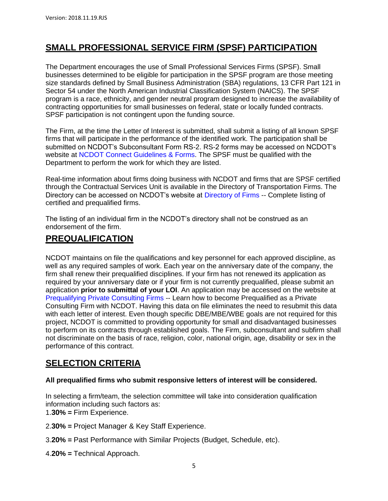# **SMALL PROFESSIONAL SERVICE FIRM (SPSF) PARTICIPATION**

The Department encourages the use of Small Professional Services Firms (SPSF). Small businesses determined to be eligible for participation in the SPSF program are those meeting size standards defined by Small Business Administration (SBA) regulations, 13 CFR Part 121 in Sector 54 under the North American Industrial Classification System (NAICS). The SPSF program is a race, ethnicity, and gender neutral program designed to increase the availability of contracting opportunities for small businesses on federal, state or locally funded contracts. SPSF participation is not contingent upon the funding source.

The Firm, at the time the Letter of Interest is submitted, shall submit a listing of all known SPSF firms that will participate in the performance of the identified work. The participation shall be submitted on NCDOT's Subconsultant Form RS-2. RS-2 forms may be accessed on NCDOT's website at NCDOT Connect Guidelines & Forms. The SPSF must be qualified with the Department to perform the work for which they are listed.

Real-time information about firms doing business with NCDOT and firms that are SPSF certified through the Contractual Services Unit is available in the Directory of Transportation Firms. The Directory can be accessed on NCDOT's website at Directory of Firms -- Complete listing of certified and prequalified firms.

The listing of an individual firm in the NCDOT's directory shall not be construed as an endorsement of the firm.

### **PREQUALIFICATION**

NCDOT maintains on file the qualifications and key personnel for each approved discipline, as well as any required samples of work. Each year on the anniversary date of the company, the firm shall renew their prequalified disciplines. If your firm has not renewed its application as required by your anniversary date or if your firm is not currently prequalified, please submit an application **prior to submittal of your LOI**. An application may be accessed on the website at Prequalifying Private Consulting Firms -- Learn how to become Prequalified as a Private Consulting Firm with NCDOT. Having this data on file eliminates the need to resubmit this data with each letter of interest. Even though specific DBE/MBE/WBE goals are not required for this project, NCDOT is committed to providing opportunity for small and disadvantaged businesses to perform on its contracts through established goals. The Firm, subconsultant and subfirm shall not discriminate on the basis of race, religion, color, national origin, age, disability or sex in the performance of this contract.

## **SELECTION CRITERIA**

#### **All prequalified firms who submit responsive letters of interest will be considered.**

In selecting a firm/team, the selection committee will take into consideration qualification information including such factors as: 1.**30% =** Firm Experience.

- 2.**30% =** Project Manager & Key Staff Experience.
- 3.**20% =** Past Performance with Similar Projects (Budget, Schedule, etc).
- 4.**20% =** Technical Approach.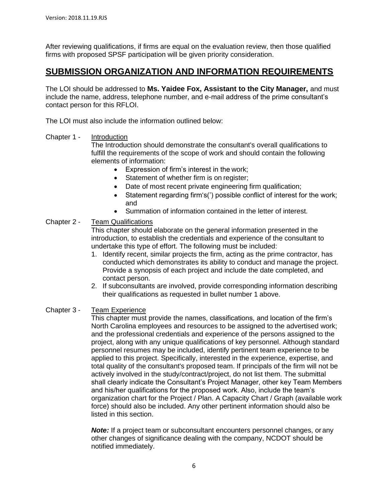After reviewing qualifications, if firms are equal on the evaluation review, then those qualified firms with proposed SPSF participation will be given priority consideration.

## **SUBMISSION ORGANIZATION AND INFORMATION REQUIREMENTS**

The LOI should be addressed to **Ms. Yaidee Fox, Assistant to the City Manager,** and must include the name, address, telephone number, and e-mail address of the prime consultant's contact person for this RFLOI.

The LOI must also include the information outlined below:

#### Chapter 1 - Introduction

The Introduction should demonstrate the consultant's overall qualifications to fulfill the requirements of the scope of work and should contain the following elements of information:

- Expression of firm's interest in the work;
- Statement of whether firm is on register;
- Date of most recent private engineering firm qualification;
- Statement regarding firm's(') possible conflict of interest for the work; and
- Summation of information contained in the letter of interest.

### Chapter 2 - Team Qualifications

This chapter should elaborate on the general information presented in the introduction, to establish the credentials and experience of the consultant to undertake this type of effort. The following must be included:

- 1. Identify recent, similar projects the firm, acting as the prime contractor, has conducted which demonstrates its ability to conduct and manage the project. Provide a synopsis of each project and include the date completed, and contact person.
- 2. If subconsultants are involved, provide corresponding information describing their qualifications as requested in bullet number 1 above.

### Chapter 3 - Team Experience

This chapter must provide the names, classifications, and location of the firm's North Carolina employees and resources to be assigned to the advertised work; and the professional credentials and experience of the persons assigned to the project, along with any unique qualifications of key personnel. Although standard personnel resumes may be included, identify pertinent team experience to be applied to this project. Specifically, interested in the experience, expertise, and total quality of the consultant's proposed team. If principals of the firm will not be actively involved in the study/contract/project, do not list them. The submittal shall clearly indicate the Consultant's Project Manager, other key Team Members and his/her qualifications for the proposed work. Also, include the team's organization chart for the Project / Plan. A Capacity Chart / Graph (available work force) should also be included. Any other pertinent information should also be listed in this section.

*Note:* If a project team or subconsultant encounters personnel changes, or any other changes of significance dealing with the company, NCDOT should be notified immediately.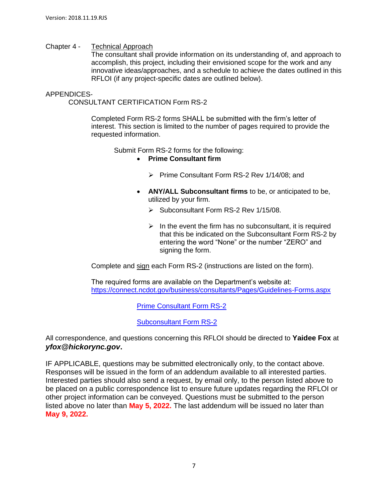#### Chapter 4 - Technical Approach

The consultant shall provide information on its understanding of, and approach to accomplish, this project, including their envisioned scope for the work and any innovative ideas/approaches, and a schedule to achieve the dates outlined in this RFLOI (if any project-specific dates are outlined below).

#### APPENDICES-

CONSULTANT CERTIFICATION Form RS-2

Completed Form RS-2 forms SHALL be submitted with the firm's letter of interest. This section is limited to the number of pages required to provide the requested information.

Submit Form RS-2 forms for the following:

- **Prime Consultant firm**
	- ➢ Prime Consultant Form RS-2 Rev 1/14/08; and
- **ANY/ALL Subconsultant firms** to be, or anticipated to be, utilized by your firm.
	- ➢ Subconsultant Form RS-2 Rev 1/15/08.
	- $\triangleright$  In the event the firm has no subconsultant, it is required that this be indicated on the Subconsultant Form RS-2 by entering the word "None" or the number "ZERO" and signing the form.

Complete and sign each Form RS-2 (instructions are listed on the form).

The required forms are available on the Department's website at: https://connect.ncdot.gov/business/consultants/Pages/Guidelines-Forms.aspx

Prime Consultant Form RS-2

Subconsultant Form RS-2

All correspondence, and questions concerning this RFLOI should be directed to **Yaidee Fox** at *[yfox@hickorync.gov](mailto:yfox@hickorync.gov)***.**

IF APPLICABLE, questions may be submitted electronically only, to the contact above. Responses will be issued in the form of an addendum available to all interested parties. Interested parties should also send a request, by email only, to the person listed above to be placed on a public correspondence list to ensure future updates regarding the RFLOI or other project information can be conveyed. Questions must be submitted to the person listed above no later than **May 5, 2022.** The last addendum will be issued no later than **May 9, 2022.**